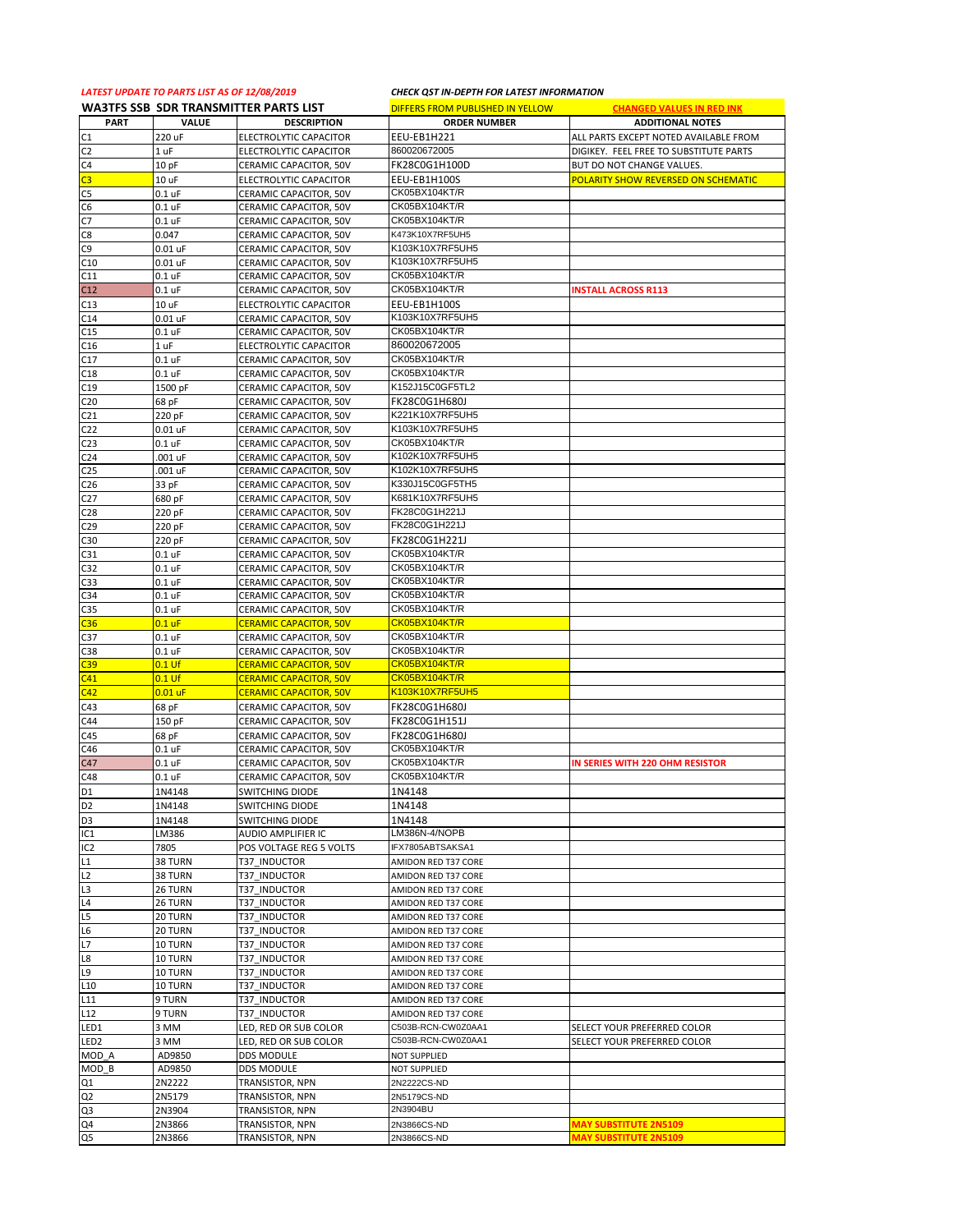## *LATEST UPDATE TO PARTS LIST AS OF 12/08/2019 CHECK QST IN-DEPTH FOR LATEST INFORMATION*

|                  | <b>WA3TFS SSB SDR TRANSMITTER PARTS LIST</b> |                               | DIFFERS FROM PUBLISHED IN YELLOW | <b>CHANGED VALUES IN RED INK</b>       |
|------------------|----------------------------------------------|-------------------------------|----------------------------------|----------------------------------------|
| <b>PART</b>      | VALUE                                        | <b>DESCRIPTION</b>            | <b>ORDER NUMBER</b>              | <b>ADDITIONAL NOTES</b>                |
| C1               | 220 uF                                       | ELECTROLYTIC CAPACITOR        | EEU-EB1H221                      | ALL PARTS EXCEPT NOTED AVAILABLE FROM  |
| C <sub>2</sub>   | 1 uF                                         | ELECTROLYTIC CAPACITOR        | 860020672005                     | DIGIKEY. FEEL FREE TO SUBSTITUTE PARTS |
| C4               | 10pF                                         | CERAMIC CAPACITOR, 50V        | FK28C0G1H100D                    | BUT DO NOT CHANGE VALUES.              |
| $\overline{c}$   | 10 uF                                        | ELECTROLYTIC CAPACITOR        | EEU-EB1H100S                     | POLARITY SHOW REVERSED ON SCHEMATIC    |
| C <sub>5</sub>   | $0.1$ uF                                     | CERAMIC CAPACITOR, 50V        | CK05BX104KT/R                    |                                        |
| C6               | $0.1$ uF                                     | CERAMIC CAPACITOR, 50V        | CK05BX104KT/R                    |                                        |
| C7               | $0.1$ uF                                     | CERAMIC CAPACITOR, 50V        | CK05BX104KT/R                    |                                        |
| C8               | 0.047                                        | CERAMIC CAPACITOR, 50V        | K473K10X7RF5UH5                  |                                        |
| C <sub>9</sub>   | $0.01$ uF                                    | CERAMIC CAPACITOR, 50V        | K103K10X7RF5UH5                  |                                        |
| C10              | $0.01$ uF                                    | CERAMIC CAPACITOR, 50V        | K103K10X7RF5UH5                  |                                        |
| C11              | $0.1$ uF                                     | CERAMIC CAPACITOR, 50V        | CK05BX104KT/R                    |                                        |
| C12              | $0.1$ uF                                     | CERAMIC CAPACITOR, 50V        | CK05BX104KT/R                    | <b>INSTALL ACROSS R113</b>             |
| C13              | 10 uF                                        | ELECTROLYTIC CAPACITOR        | EEU-EB1H100S                     |                                        |
| C14              | 0.01 uF                                      | CERAMIC CAPACITOR, 50V        | K103K10X7RF5UH5                  |                                        |
| C15              | $0.1$ uF                                     | CERAMIC CAPACITOR, 50V        | CK05BX104KT/R                    |                                        |
| C16              | 1 uF                                         | ELECTROLYTIC CAPACITOR        | 860020672005                     |                                        |
| C17              | $0.1$ uF                                     | CERAMIC CAPACITOR, 50V        | CK05BX104KT/R                    |                                        |
| C18              | $0.1$ uF                                     | CERAMIC CAPACITOR, 50V        | CK05BX104KT/R                    |                                        |
| C19              | 1500 pF                                      | CERAMIC CAPACITOR, 50V        | K152J15C0GF5TL2                  |                                        |
| C <sub>20</sub>  | 68 pF                                        | CERAMIC CAPACITOR, 50V        | FK28C0G1H680J                    |                                        |
| C <sub>21</sub>  | 220 pF                                       | CERAMIC CAPACITOR, 50V        | K221K10X7RF5UH5                  |                                        |
| C <sub>22</sub>  | 0.01 uF                                      | CERAMIC CAPACITOR, 50V        | K103K10X7RF5UH5                  |                                        |
| C <sub>23</sub>  | $0.1$ uF                                     | CERAMIC CAPACITOR, 50V        | CK05BX104KT/R                    |                                        |
| C <sub>24</sub>  | .001 uF                                      | CERAMIC CAPACITOR, 50V        | K102K10X7RF5UH5                  |                                        |
| C25              | .001 uF                                      | CERAMIC CAPACITOR, 50V        | K102K10X7RF5UH5                  |                                        |
| C <sub>26</sub>  | 33 pF                                        | CERAMIC CAPACITOR, 50V        | K330J15C0GF5TH5                  |                                        |
| C <sub>27</sub>  | 680 pF                                       | CERAMIC CAPACITOR, 50V        | K681K10X7RF5UH5                  |                                        |
| C <sub>28</sub>  | 220 pF                                       | CERAMIC CAPACITOR, 50V        | FK28C0G1H221J                    |                                        |
| C <sub>29</sub>  | 220 pF                                       | CERAMIC CAPACITOR, 50V        | FK28C0G1H221J                    |                                        |
| C30              | 220 pF                                       | CERAMIC CAPACITOR, 50V        | FK28C0G1H221J                    |                                        |
| C31              | $0.1$ uF                                     | CERAMIC CAPACITOR, 50V        | CK05BX104KT/R                    |                                        |
| C32              | $0.1$ uF                                     | CERAMIC CAPACITOR, 50V        | CK05BX104KT/R                    |                                        |
| C33              | $0.1$ uF                                     | CERAMIC CAPACITOR, 50V        | CK05BX104KT/R                    |                                        |
| C34              | $0.1$ uF                                     | CERAMIC CAPACITOR, 50V        | CK05BX104KT/R                    |                                        |
| C35              | $0.1$ uF                                     | CERAMIC CAPACITOR, 50V        | CK05BX104KT/R                    |                                        |
| C <sub>36</sub>  | $0.1$ uF                                     | <b>CERAMIC CAPACITOR, 50V</b> | CK05BX104KT/R                    |                                        |
| C37              | $0.1$ uF                                     | CERAMIC CAPACITOR, 50V        | CK05BX104KT/R                    |                                        |
| C38              | $0.1$ uF                                     | CERAMIC CAPACITOR, 50V        | CK05BX104KT/R                    |                                        |
| C39              | $0.1$ Uf                                     | <b>CERAMIC CAPACITOR, 50V</b> | CK05BX104KT/R                    |                                        |
| C <sub>41</sub>  | $0.1$ Uf                                     | <b>CERAMIC CAPACITOR, 50V</b> | CK05BX104KT/R                    |                                        |
| C42              | $0.01$ uF                                    | <b>CERAMIC CAPACITOR, 50V</b> | K103K10X7RF5UH5                  |                                        |
| C43              | 68 pF                                        | CERAMIC CAPACITOR, 50V        | FK28C0G1H680J                    |                                        |
| C44              | 150 pF                                       | CERAMIC CAPACITOR, 50V        | FK28C0G1H151J                    |                                        |
| C45              | 68 pF                                        | CERAMIC CAPACITOR, 50V        | FK28C0G1H680J                    |                                        |
| C46              | $0.1$ uF                                     | CERAMIC CAPACITOR, 50V        | CK05BX104KT/R                    |                                        |
| C47              | $0.1$ uF                                     | CERAMIC CAPACITOR, 50V        | CK05BX104KT/R                    | IN SERIES WITH 220 OHM RESISTOR        |
| C48              | $0.1$ uF                                     | CERAMIC CAPACITOR, 50V        | CK05BX104KT/R                    |                                        |
| D <sub>1</sub>   | 1N4148                                       | <b>SWITCHING DIODE</b>        | 1N4148                           |                                        |
| D <sub>2</sub>   | 1N4148                                       | <b>SWITCHING DIODE</b>        | 1N4148                           |                                        |
| D <sub>3</sub>   | 1N4148                                       | SWITCHING DIODE               | 1N4148                           |                                        |
| IC <sub>1</sub>  | LM386                                        | AUDIO AMPLIFIER IC            | LM386N-4/NOPB                    |                                        |
| IC <sub>2</sub>  | 7805                                         | POS VOLTAGE REG 5 VOLTS       | IFX7805ABTSAKSA1                 |                                        |
| L1               | 38 TURN                                      | T37 INDUCTOR                  | AMIDON RED T37 CORE              |                                        |
| L <sub>2</sub>   | 38 TURN                                      | T37 INDUCTOR                  | AMIDON RED T37 CORE              |                                        |
| L <sub>3</sub>   | 26 TURN                                      | T37 INDUCTOR                  | AMIDON RED T37 CORE              |                                        |
| L4               | 26 TURN                                      | T37 INDUCTOR                  | AMIDON RED T37 CORE              |                                        |
| L5               | 20 TURN                                      | T37 INDUCTOR                  | AMIDON RED T37 CORE              |                                        |
| L6               | 20 TURN                                      | T37 INDUCTOR                  | AMIDON RED T37 CORE              |                                        |
| L7               | 10 TURN                                      | T37 INDUCTOR                  | AMIDON RED T37 CORE              |                                        |
| L8               | 10 TURN                                      | T37 INDUCTOR                  | AMIDON RED T37 CORE              |                                        |
| L9               | 10 TURN                                      | T37 INDUCTOR                  | AMIDON RED T37 CORE              |                                        |
| L <sub>10</sub>  | 10 TURN                                      | T37 INDUCTOR                  | AMIDON RED T37 CORE              |                                        |
| L11              | 9 TURN                                       | T37 INDUCTOR                  | AMIDON RED T37 CORE              |                                        |
| L12              | 9 TURN                                       | T37 INDUCTOR                  | AMIDON RED T37 CORE              |                                        |
| LED1             | 3 MM                                         | LED, RED OR SUB COLOR         | C503B-RCN-CW0Z0AA1               | SELECT YOUR PREFERRED COLOR            |
| LED <sub>2</sub> | 3 MM                                         | LED, RED OR SUB COLOR         | C503B-RCN-CW0Z0AA1               | SELECT YOUR PREFERRED COLOR            |
| MOD_A            | AD9850                                       | DDS MODULE                    | NOT SUPPLIED                     |                                        |
| MOD B            | AD9850                                       | DDS MODULE                    | <b>NOT SUPPLIED</b>              |                                        |
| Q1               | 2N2222                                       | TRANSISTOR, NPN               | 2N2222CS-ND                      |                                        |
| Q <sub>2</sub>   | 2N5179                                       | TRANSISTOR, NPN               | 2N5179CS-ND<br>2N3904BU          |                                        |
| Q3               | 2N3904                                       | TRANSISTOR, NPN               |                                  |                                        |
| Q4               | 2N3866                                       | TRANSISTOR, NPN               | 2N3866CS-ND                      | <b>MAY SUBSTITUTE 2N5109</b>           |
| Q5               | 2N3866                                       | TRANSISTOR, NPN               | 2N3866CS-ND                      | <b>MAY SUBSTITUTE 2N5109</b>           |